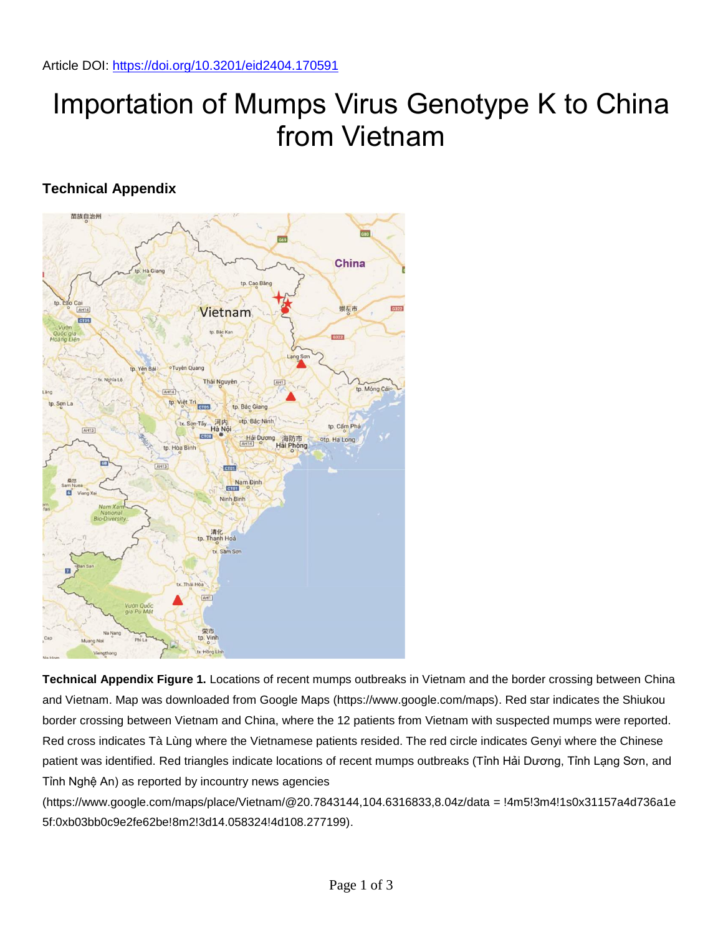## Importation of Mumps Virus Genotype K to China from Vietnam

## **Technical Appendix**



**Technical Appendix Figure 1.** Locations of recent mumps outbreaks in Vietnam and the border crossing between China and Vietnam. Map was downloaded from Google Maps (https://www.google.com/maps). Red star indicates the Shiukou border crossing between Vietnam and China, where the 12 patients from Vietnam with suspected mumps were reported. Red cross indicates Tà Lùng where the Vietnamese patients resided. The red circle indicates Genyi where the Chinese patient was identified. Red triangles indicate locations of recent mumps outbreaks (Tỉnh Hải Dương, Tỉnh Lạng Sơn, and Tỉnh Nghệ An) as reported by incountry news agencies

(https://www.google.com/maps/place/Vietnam/@20.7843144,104.6316833,8.04z/data = !4m5!3m4!1s0x31157a4d736a1e 5f:0xb03bb0c9e2fe62be!8m2!3d14.058324!4d108.277199).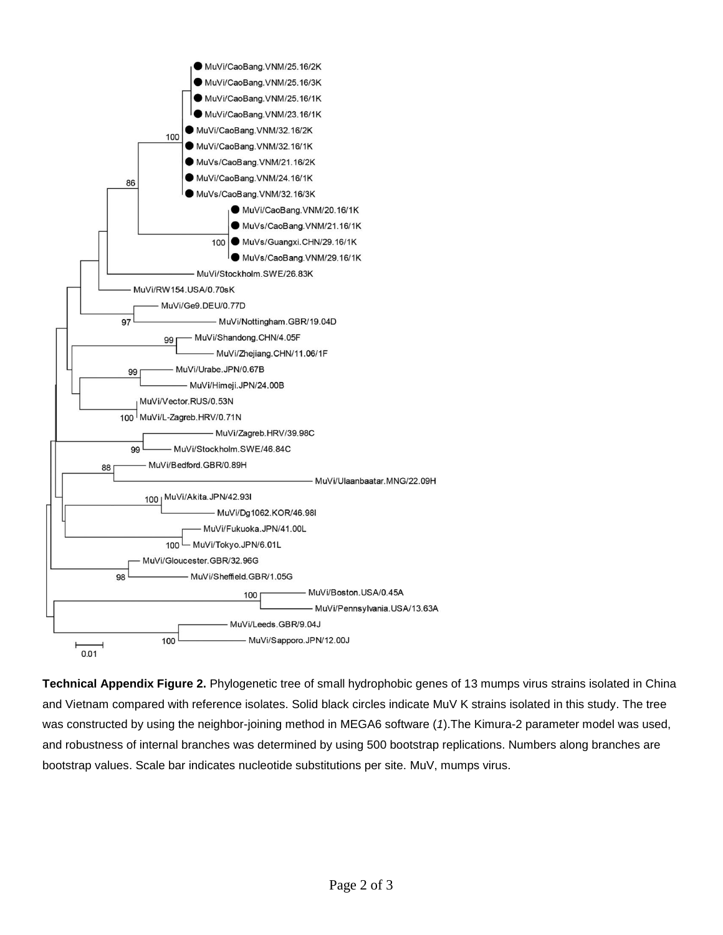

**Technical Appendix Figure 2.** Phylogenetic tree of small hydrophobic genes of 13 mumps virus strains isolated in China and Vietnam compared with reference isolates. Solid black circles indicate MuV K strains isolated in this study. The tree was constructed by using the neighbor-joining method in MEGA6 software (*1*).The Kimura-2 parameter model was used, and robustness of internal branches was determined by using 500 bootstrap replications. Numbers along branches are bootstrap values. Scale bar indicates nucleotide substitutions per site. MuV, mumps virus.